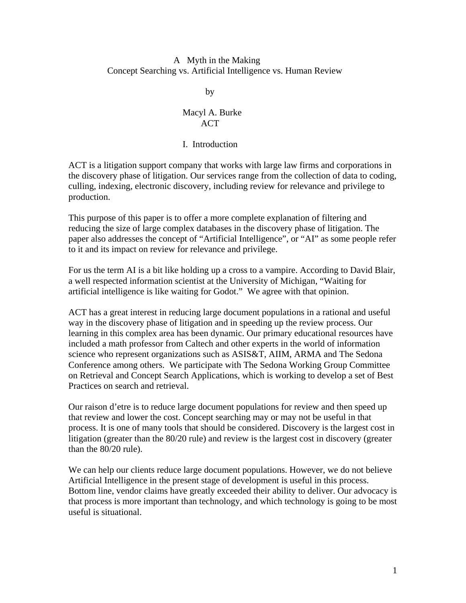### A Myth in the Making Concept Searching vs. Artificial Intelligence vs. Human Review

**by** 

# Macyl A. Burke ACT

#### I. Introduction

ACT is a litigation support company that works with large law firms and corporations in the discovery phase of litigation. Our services range from the collection of data to coding, culling, indexing, electronic discovery, including review for relevance and privilege to production.

This purpose of this paper is to offer a more complete explanation of filtering and reducing the size of large complex databases in the discovery phase of litigation. The paper also addresses the concept of "Artificial Intelligence", or "AI" as some people refer to it and its impact on review for relevance and privilege.

For us the term AI is a bit like holding up a cross to a vampire. According to David Blair, a well respected information scientist at the University of Michigan, "Waiting for artificial intelligence is like waiting for Godot." We agree with that opinion.

ACT has a great interest in reducing large document populations in a rational and useful way in the discovery phase of litigation and in speeding up the review process. Our learning in this complex area has been dynamic. Our primary educational resources have included a math professor from Caltech and other experts in the world of information science who represent organizations such as ASIS&T, AIIM, ARMA and The Sedona Conference among others. We participate with The Sedona Working Group Committee on Retrieval and Concept Search Applications, which is working to develop a set of Best Practices on search and retrieval.

Our raison d'etre is to reduce large document populations for review and then speed up that review and lower the cost. Concept searching may or may not be useful in that process. It is one of many tools that should be considered. Discovery is the largest cost in litigation (greater than the 80/20 rule) and review is the largest cost in discovery (greater than the 80/20 rule).

We can help our clients reduce large document populations. However, we do not believe Artificial Intelligence in the present stage of development is useful in this process. Bottom line, vendor claims have greatly exceeded their ability to deliver. Our advocacy is that process is more important than technology, and which technology is going to be most useful is situational.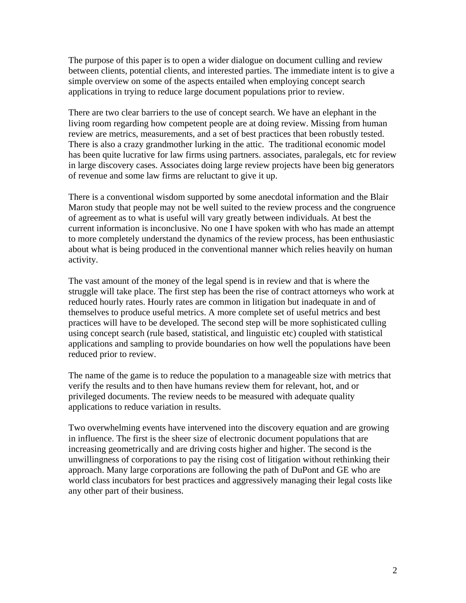The purpose of this paper is to open a wider dialogue on document culling and review between clients, potential clients, and interested parties. The immediate intent is to give a simple overview on some of the aspects entailed when employing concept search applications in trying to reduce large document populations prior to review.

There are two clear barriers to the use of concept search. We have an elephant in the living room regarding how competent people are at doing review. Missing from human review are metrics, measurements, and a set of best practices that been robustly tested. There is also a crazy grandmother lurking in the attic. The traditional economic model has been quite lucrative for law firms using partners. associates, paralegals, etc for review in large discovery cases. Associates doing large review projects have been big generators of revenue and some law firms are reluctant to give it up.

There is a conventional wisdom supported by some anecdotal information and the Blair Maron study that people may not be well suited to the review process and the congruence of agreement as to what is useful will vary greatly between individuals. At best the current information is inconclusive. No one I have spoken with who has made an attempt to more completely understand the dynamics of the review process, has been enthusiastic about what is being produced in the conventional manner which relies heavily on human activity.

The vast amount of the money of the legal spend is in review and that is where the struggle will take place. The first step has been the rise of contract attorneys who work at reduced hourly rates. Hourly rates are common in litigation but inadequate in and of themselves to produce useful metrics. A more complete set of useful metrics and best practices will have to be developed. The second step will be more sophisticated culling using concept search (rule based, statistical, and linguistic etc) coupled with statistical applications and sampling to provide boundaries on how well the populations have been reduced prior to review.

The name of the game is to reduce the population to a manageable size with metrics that verify the results and to then have humans review them for relevant, hot, and or privileged documents. The review needs to be measured with adequate quality applications to reduce variation in results.

Two overwhelming events have intervened into the discovery equation and are growing in influence. The first is the sheer size of electronic document populations that are increasing geometrically and are driving costs higher and higher. The second is the unwillingness of corporations to pay the rising cost of litigation without rethinking their approach. Many large corporations are following the path of DuPont and GE who are world class incubators for best practices and aggressively managing their legal costs like any other part of their business.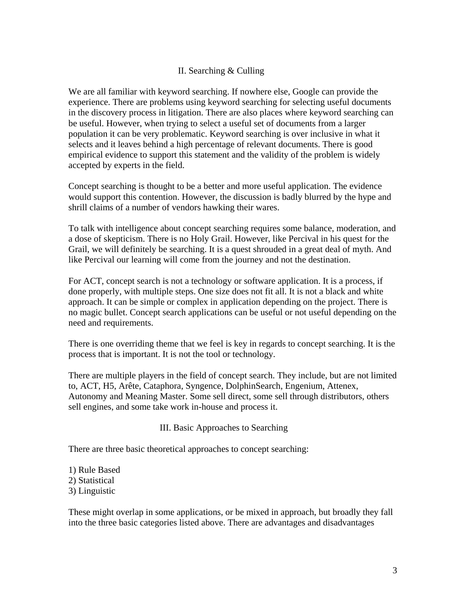# II. Searching & Culling

We are all familiar with keyword searching. If nowhere else, Google can provide the experience. There are problems using keyword searching for selecting useful documents in the discovery process in litigation. There are also places where keyword searching can be useful. However, when trying to select a useful set of documents from a larger population it can be very problematic. Keyword searching is over inclusive in what it selects and it leaves behind a high percentage of relevant documents. There is good empirical evidence to support this statement and the validity of the problem is widely accepted by experts in the field.

Concept searching is thought to be a better and more useful application. The evidence would support this contention. However, the discussion is badly blurred by the hype and shrill claims of a number of vendors hawking their wares.

To talk with intelligence about concept searching requires some balance, moderation, and a dose of skepticism. There is no Holy Grail. However, like Percival in his quest for the Grail, we will definitely be searching. It is a quest shrouded in a great deal of myth. And like Percival our learning will come from the journey and not the destination.

For ACT, concept search is not a technology or software application. It is a process, if done properly, with multiple steps. One size does not fit all. It is not a black and white approach. It can be simple or complex in application depending on the project. There is no magic bullet. Concept search applications can be useful or not useful depending on the need and requirements.

There is one overriding theme that we feel is key in regards to concept searching. It is the process that is important. It is not the tool or technology.

There are multiple players in the field of concept search. They include, but are not limited to, ACT, H5, Arête, Cataphora, Syngence, DolphinSearch, Engenium, Attenex, Autonomy and Meaning Master. Some sell direct, some sell through distributors, others sell engines, and some take work in-house and process it.

#### III. Basic Approaches to Searching

There are three basic theoretical approaches to concept searching:

1) Rule Based 2) Statistical 3) Linguistic

These might overlap in some applications, or be mixed in approach, but broadly they fall into the three basic categories listed above. There are advantages and disadvantages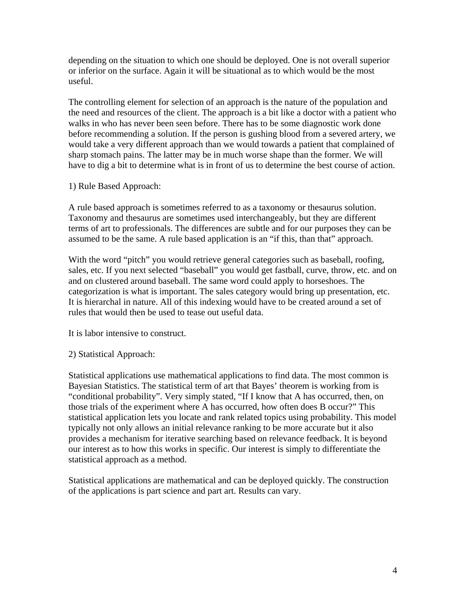depending on the situation to which one should be deployed. One is not overall superior or inferior on the surface. Again it will be situational as to which would be the most useful.

The controlling element for selection of an approach is the nature of the population and the need and resources of the client. The approach is a bit like a doctor with a patient who walks in who has never been seen before. There has to be some diagnostic work done before recommending a solution. If the person is gushing blood from a severed artery, we would take a very different approach than we would towards a patient that complained of sharp stomach pains. The latter may be in much worse shape than the former. We will have to dig a bit to determine what is in front of us to determine the best course of action.

### 1) Rule Based Approach:

A rule based approach is sometimes referred to as a taxonomy or thesaurus solution. Taxonomy and thesaurus are sometimes used interchangeably, but they are different terms of art to professionals. The differences are subtle and for our purposes they can be assumed to be the same. A rule based application is an "if this, than that" approach.

With the word "pitch" you would retrieve general categories such as baseball, roofing, sales, etc. If you next selected "baseball" you would get fastball, curve, throw, etc. and on and on clustered around baseball. The same word could apply to horseshoes. The categorization is what is important. The sales category would bring up presentation, etc. It is hierarchal in nature. All of this indexing would have to be created around a set of rules that would then be used to tease out useful data.

It is labor intensive to construct.

#### 2) Statistical Approach:

Statistical applications use mathematical applications to find data. The most common is Bayesian Statistics. The statistical term of art that Bayes' theorem is working from is "conditional probability". Very simply stated, "If I know that A has occurred, then, on those trials of the experiment where A has occurred, how often does B occur?" This statistical application lets you locate and rank related topics using probability. This model typically not only allows an initial relevance ranking to be more accurate but it also provides a mechanism for iterative searching based on relevance feedback. It is beyond our interest as to how this works in specific. Our interest is simply to differentiate the statistical approach as a method.

Statistical applications are mathematical and can be deployed quickly. The construction of the applications is part science and part art. Results can vary.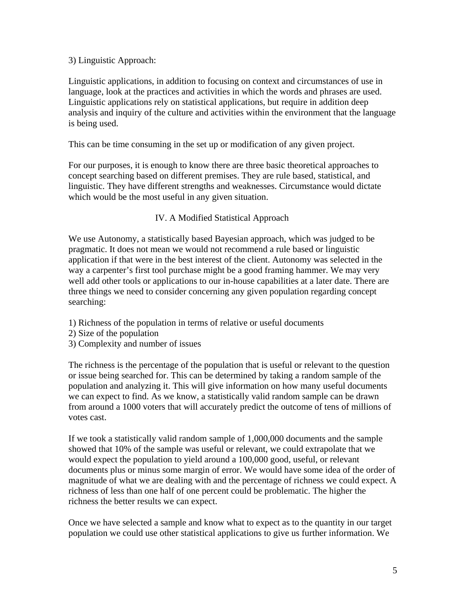### 3) Linguistic Approach:

Linguistic applications, in addition to focusing on context and circumstances of use in language, look at the practices and activities in which the words and phrases are used. Linguistic applications rely on statistical applications, but require in addition deep analysis and inquiry of the culture and activities within the environment that the language is being used.

This can be time consuming in the set up or modification of any given project.

For our purposes, it is enough to know there are three basic theoretical approaches to concept searching based on different premises. They are rule based, statistical, and linguistic. They have different strengths and weaknesses. Circumstance would dictate which would be the most useful in any given situation.

# IV. A Modified Statistical Approach

We use Autonomy, a statistically based Bayesian approach, which was judged to be pragmatic. It does not mean we would not recommend a rule based or linguistic application if that were in the best interest of the client. Autonomy was selected in the way a carpenter's first tool purchase might be a good framing hammer. We may very well add other tools or applications to our in-house capabilities at a later date. There are three things we need to consider concerning any given population regarding concept searching:

- 1) Richness of the population in terms of relative or useful documents
- 2) Size of the population
- 3) Complexity and number of issues

The richness is the percentage of the population that is useful or relevant to the question or issue being searched for. This can be determined by taking a random sample of the population and analyzing it. This will give information on how many useful documents we can expect to find. As we know, a statistically valid random sample can be drawn from around a 1000 voters that will accurately predict the outcome of tens of millions of votes cast.

If we took a statistically valid random sample of 1,000,000 documents and the sample showed that 10% of the sample was useful or relevant, we could extrapolate that we would expect the population to yield around a 100,000 good, useful, or relevant documents plus or minus some margin of error. We would have some idea of the order of magnitude of what we are dealing with and the percentage of richness we could expect. A richness of less than one half of one percent could be problematic. The higher the richness the better results we can expect.

Once we have selected a sample and know what to expect as to the quantity in our target population we could use other statistical applications to give us further information. We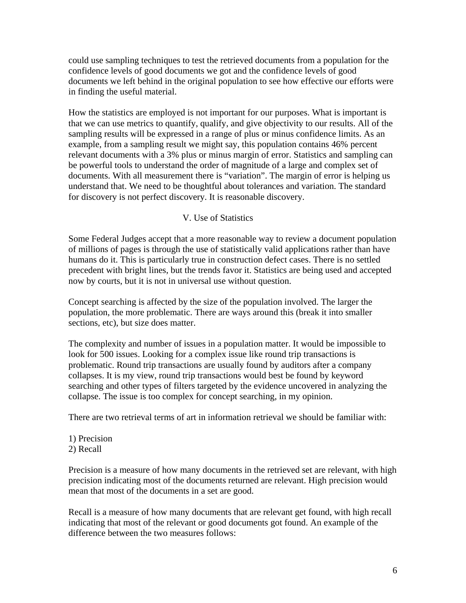could use sampling techniques to test the retrieved documents from a population for the confidence levels of good documents we got and the confidence levels of good documents we left behind in the original population to see how effective our efforts were in finding the useful material.

How the statistics are employed is not important for our purposes. What is important is that we can use metrics to quantify, qualify, and give objectivity to our results. All of the sampling results will be expressed in a range of plus or minus confidence limits. As an example, from a sampling result we might say, this population contains 46% percent relevant documents with a 3% plus or minus margin of error. Statistics and sampling can be powerful tools to understand the order of magnitude of a large and complex set of documents. With all measurement there is "variation". The margin of error is helping us understand that. We need to be thoughtful about tolerances and variation. The standard for discovery is not perfect discovery. It is reasonable discovery.

### V. Use of Statistics

Some Federal Judges accept that a more reasonable way to review a document population of millions of pages is through the use of statistically valid applications rather than have humans do it. This is particularly true in construction defect cases. There is no settled precedent with bright lines, but the trends favor it. Statistics are being used and accepted now by courts, but it is not in universal use without question.

Concept searching is affected by the size of the population involved. The larger the population, the more problematic. There are ways around this (break it into smaller sections, etc), but size does matter.

The complexity and number of issues in a population matter. It would be impossible to look for 500 issues. Looking for a complex issue like round trip transactions is problematic. Round trip transactions are usually found by auditors after a company collapses. It is my view, round trip transactions would best be found by keyword searching and other types of filters targeted by the evidence uncovered in analyzing the collapse. The issue is too complex for concept searching, in my opinion.

There are two retrieval terms of art in information retrieval we should be familiar with:

- 1) Precision
- 2) Recall

Precision is a measure of how many documents in the retrieved set are relevant, with high precision indicating most of the documents returned are relevant. High precision would mean that most of the documents in a set are good.

Recall is a measure of how many documents that are relevant get found, with high recall indicating that most of the relevant or good documents got found. An example of the difference between the two measures follows: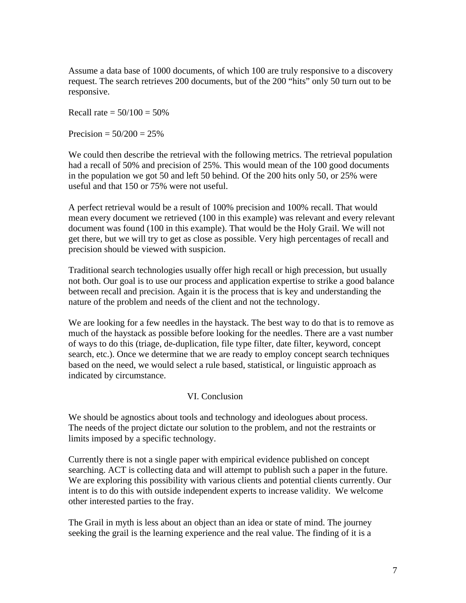Assume a data base of 1000 documents, of which 100 are truly responsive to a discovery request. The search retrieves 200 documents, but of the 200 "hits" only 50 turn out to be responsive.

Recall rate =  $50/100 = 50%$ 

Precision =  $50/200 = 25%$ 

We could then describe the retrieval with the following metrics. The retrieval population had a recall of 50% and precision of 25%. This would mean of the 100 good documents in the population we got 50 and left 50 behind. Of the 200 hits only 50, or 25% were useful and that 150 or 75% were not useful.

A perfect retrieval would be a result of 100% precision and 100% recall. That would mean every document we retrieved (100 in this example) was relevant and every relevant document was found (100 in this example). That would be the Holy Grail. We will not get there, but we will try to get as close as possible. Very high percentages of recall and precision should be viewed with suspicion.

Traditional search technologies usually offer high recall or high precession, but usually not both. Our goal is to use our process and application expertise to strike a good balance between recall and precision. Again it is the process that is key and understanding the nature of the problem and needs of the client and not the technology.

We are looking for a few needles in the haystack. The best way to do that is to remove as much of the haystack as possible before looking for the needles. There are a vast number of ways to do this (triage, de-duplication, file type filter, date filter, keyword, concept search, etc.). Once we determine that we are ready to employ concept search techniques based on the need, we would select a rule based, statistical, or linguistic approach as indicated by circumstance.

#### VI. Conclusion

We should be agnostics about tools and technology and ideologues about process. The needs of the project dictate our solution to the problem, and not the restraints or limits imposed by a specific technology.

Currently there is not a single paper with empirical evidence published on concept searching. ACT is collecting data and will attempt to publish such a paper in the future. We are exploring this possibility with various clients and potential clients currently. Our intent is to do this with outside independent experts to increase validity. We welcome other interested parties to the fray.

The Grail in myth is less about an object than an idea or state of mind. The journey seeking the grail is the learning experience and the real value. The finding of it is a